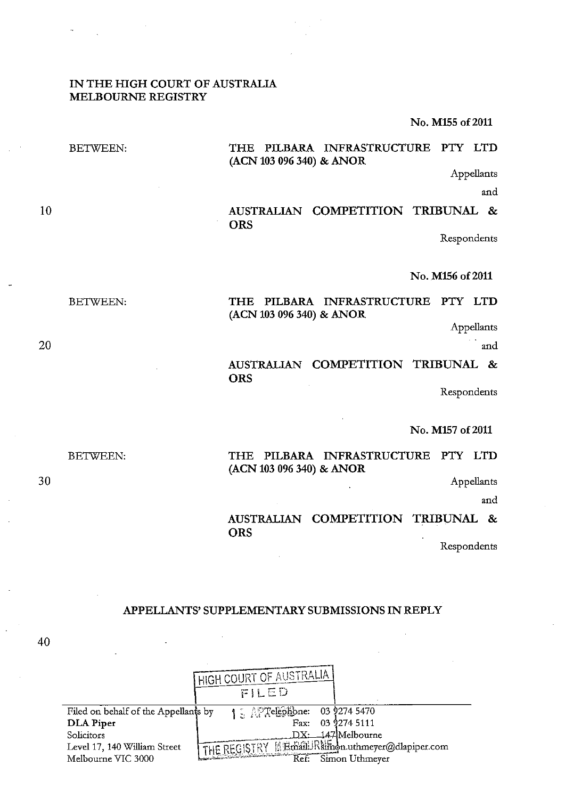### IN THE HIGH COURT OF AUSTRALIA MELBOURNE REGISTRY

No. M155 o£2011

|    | <b>BETWEEN:</b> | PILBARA INFRASTRUCTURE PTY LTD<br>THE<br>(ACN 103 096 340) & ANOR           |
|----|-----------------|-----------------------------------------------------------------------------|
|    |                 | Appellants                                                                  |
|    |                 | and                                                                         |
| 10 |                 | AUSTRALIAN COMPETITION TRIBUNAL &<br><b>ORS</b>                             |
|    |                 | Respondents                                                                 |
|    |                 | No. M156 of 2011                                                            |
|    | <b>BETWEEN:</b> | PILBARA INFRASTRUCTURE PTY LTD<br>THE.<br>(ACN 103 096 340) & ANOR          |
|    |                 | Appellants                                                                  |
| 20 |                 | and                                                                         |
|    |                 | AUSTRALIAN COMPETITION TRIBUNAL &<br><b>ORS</b>                             |
|    |                 | Respondents                                                                 |
|    |                 | No. M157 of 2011                                                            |
|    | <b>BETWEEN:</b> | PILBARA INFRASTRUCTURE<br>PTY LTD<br><b>THE</b><br>(ACN 103 096 340) & ANOR |
| 30 |                 | Appellants                                                                  |

Appellants

and

AUSTRALIAN COMPETITION TRIBUNAL & **ORS** 

Respondents

## APPELLANTS' SUPPLEMENTARY SUBMISSIONS IN REPLY

|                                                    | <b>I HIGH COURT OF AUSTRALIA</b><br>FILED                              |  |
|----------------------------------------------------|------------------------------------------------------------------------|--|
| Filed on behalf of the Appellants by               | 1 Martelephone: 03 9274 5470                                           |  |
| DLA Piper                                          | Fax: 03 9274 5111                                                      |  |
| Solicitors                                         | DX: 147 Melbourne                                                      |  |
| Level 17, 140 William Street<br>Melbourne VIC 3000 | THE REGISTRY MEmail Rimon.uthmeyer@dlapiper.com<br>Ref: Simon Uthmeyer |  |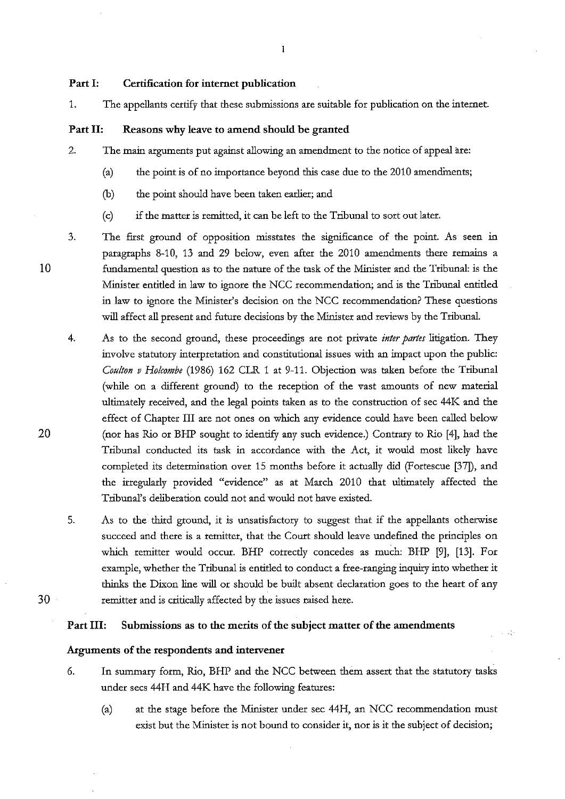#### Part I: Certification for internet publication

1. The appellants certify that these submissions are suitable for publication on the internet.

 $\mathbf{1}$ 

## Part II: Reasons why leave to amend should be granted

- 2. The main arguments put against allowing an amendment to the notice of appeal are:
	- (a) the point is of no importance beyond this case due to the  $2010$  amendinents;
	- (b) the point should have been taken earlier; and
	- (c) if the matter is remitted, it can be left to the Tribunal to sort out later.
- 3. The first ground of opposition misstates the significance of the point. As seen in paragraphs 8-10, 13 and 29 below, even after the 2010 amendments there remains a fundamental question as to the nature of the task of the Minister and the Tribunal: is the Minister entitled in law to ignore the NCC recommendation; and is the Tribunal entitled in law to ignore the Minister's decision on the NCC recommendation? These questions will affect all present and future decisions by the Minister and reviews by the Tribunal.
	- 4. As to the second ground, these proceedings are not private *inter partes* litigation. They involve statutory interpretation and constitutional issues with an impact upon the public: *Coulton v Holcombe* (1986) 162 CLR 1 at 9-11. Objection was taken before the Tribunal (while on a different ground) to the reception of the vast amounts of new material ultimately received, and the legal points taken as to the construction of sec 44K and the effect of Chapter III are not ones on which any evidence could have been called below (nor has Rio or BHP sought to identify any such evidence.) Contrary to Rio [4], had the Tribunal conducted its task in accordance with the Act, it would most likely have completed its determination over 15 months before it actually did (Fortescue [37]), and the irregularly provided "evidence" as at March 2010 that ultimately affected the Tribunal's deliberation could not and would not have existed.
	- 5. As to the third ground, it is unsatisfactory to suggest that if the appellants otherwise succeed and there is a remitter, that the Court should leave undefined the principles on which remitter would occur. BHP correctly concedes as much: BHP [9], [13]. For example, whether the Tribunal is entitled to conduct a free-ranging inquiry into whether it thinks the Dixon line will or should be built absent declaration goes to the heart of any remitter and is critically affected by the issues raised here.

# 30

### Part III: Submissions as to the merits of the subject matter of the amendments

### Arguments of the respondents and intervener

- 6. In surnmaty form, Rio, BHP and the NCC between them assert that the statutoty tasks under sees 44H and 44K have the following features:
	- (a) at the stage before the Minister under sec 44H, an NCC recommendation must exist but the Minister is not bound to consider it, nor is it the subject of decision;

 $\sim 10$ 

10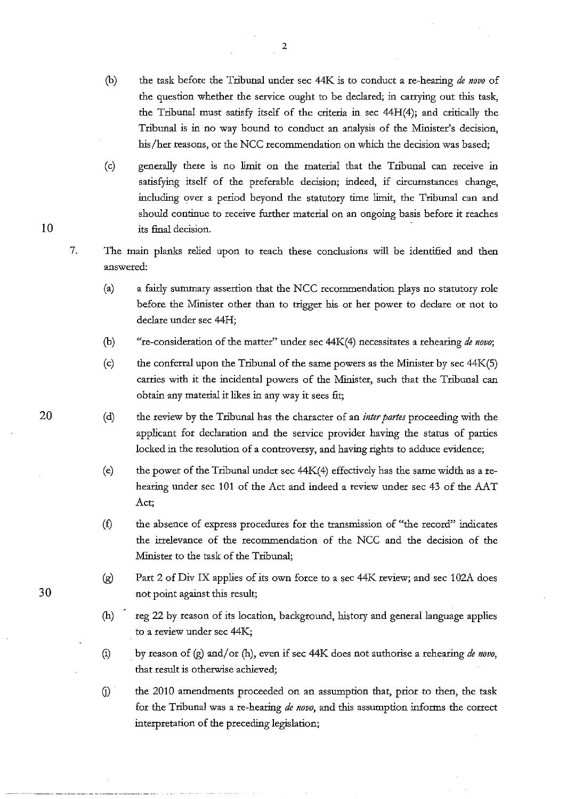- (b) the task before the Tribunal under sec 44K is to conduct a re-hearing *de novo* of the question whether the service ought to be declared; in carrying out this task, the Tribunal must satisfy itself of the criteria in sec 44H(4); and critically the Tribunal is in no way bound to conduct an analysis of the Minister's decision, his/her reasons, or the NCC recommendation on which the decision was based;
- (c) generally there is no limit on the material that the Tribunal can receive in satisfying itself of the preferable decision; indeed, if circumstances change, including over a period beyond the statutory time limit, the Tribunal can and should continue to receive further material on an ongoing basis before it reaches its final decision.
- 7. The main planks relied upon to reach these conclusions will be identified and then answered:
	- (a) a fairly summary assertion that the NCC recommendation plays no statutory role before the Minister other than to trigger his or her power to declare or not to declare under sec 44H;
	- (b) "re-consideration of the matter" under sec 44K(4) necessitates a rehearing *de novo;*
	- (c) the conferral upon the Tribunal of the same powers as the Minister by sec 44K(S) carries with it the incidental powers of the Minister, such that the Tribunal can obtain any material it likes in any way it sees fit;
	- (d) the review by the Tribunal has the character of an *inter partes* proceeding with the applicant for declaration and the service provider having the status of parties locked in the resolution of a controversy, and having rights to adduce evidence;
	- (e) the power of the Tribunal under sec  $44K(4)$  effectively has the same width as a rehearing under sec 101 of the Act and indeed a review under sec 43 of the AAT Act;
	- (£) the absence of express procedures for the transmission of "the record" indicates the irrelevance of the recommendation of the NCC and the decision of the Minister to the task of the Tribunal;
	- (g) Part 2 of Div IX applies of its own force to a sec 44K review; and sec 102A does not point against this result;
	- (h) reg 22 by reason of its location, background, history and general language applies to a review under sec 44K;
	- (i) by reason of (g) and/ or (h), even if sec 44K does not authorise a rehearing *de novo,*  that result is otherwise achieved;
	- G) the 2010 amendments proceeded on an assumption that, prior to then, the task for the Tribunal was a re-hearing *de novo,* and this assumption informs the correct interpretation of the preceding legislation;

10

20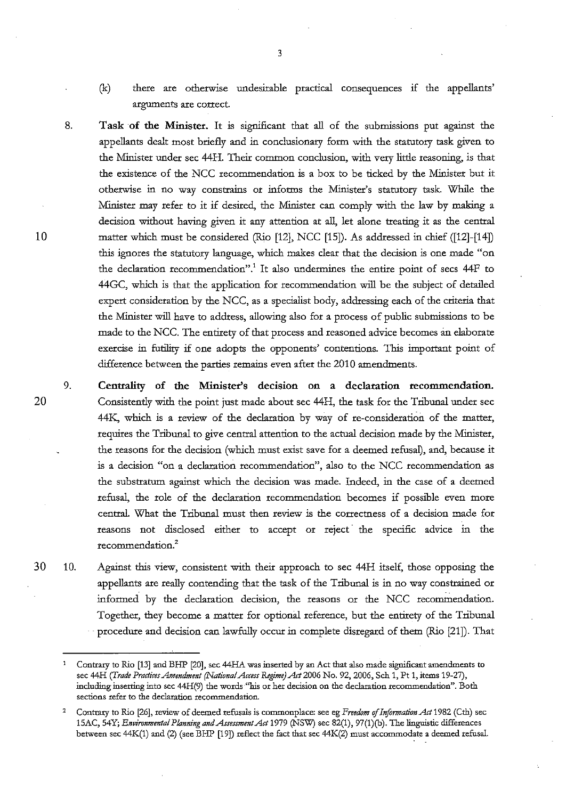- (k) there are otherwise undesirable practical consequences if the appellants' arguments are correct.
- 8. **Task of the Minister.** It is significant that all of the submissions put against the appellants dealt most briefly and in conclusionary form with the statutory task given to the Minister under sec 44 H. Their common conclusion, with *very* little reasoning, is that the existence of the NCC recommendation is a box to be ticked by the Minister but it otherwise in no way constrains or informs the Minister's statutory task. While the Minister may refer to it if desired, the Minister can comply with the law by making a decision without having given it any attention at all, let alone treating it as the central matter which must be considered (Rio [12], NCC [15]). As addressed in chief ([12]-[14]) this ignores the statutory language, which makes clear that the decision is one made "on the declaration recommendation".' It also undermines the entire point of sees 44F to 44GC, which is that the application for recommendation will be the subject of detailed expert consideration by the NCC, as a specialist body, addressing each of the criteria that the Minister will have to address, allowing also for a process of public submissions to be made to the NCC. The entirety of that process and reasoned advice becomes an elaborate exercise in futility if one adopts the opponents' contentions. This important point of difference between the parties remains even after the 2010 amendments.

9. **Centrality of the Minister's decision on a declaration recommendation.**  Consistently with the point just made about sec 44H, the task for the Tribunal under sec 44K, which is a review of the declaration by way of re-consideration of the matter, requires the Tribunal to *give* central attention to the actual decision made by the Minister, the reasons for the decision (which must exist save for a deemed refusal), and, because it is a decision "on a declaration recommendation'', also to the NCC recommendation as the substratum against which the decision was made. Indeed, in the case of a deemed refusal, the role of the declaration recommendation becomes if possible even more central. What the Tribunal must then review is the correctness of a decision made for reasons not disclosed either to accept or reject the specific advice in the recommendation.2

10. Against this view, consistent with their approach to sec 44H itself, those opposing the appellants are really contending that the task of the Tribunal is in no way constrained or informed by the declaration decision, the reasons or the NCC recommendation. Together, they become a matter for optional reference, but the entirety of the Tribunal · procedure and decision can lawfully occur in complete disregard of them (Rio [21]). That

3

10

Contrary to Rio [13] and BHP [20], sec 44HA was inserted by an Act that also made significant amendments to sec 44H *(Trade Practices Amendment (National Access Regime) Act* 2006 No. 92, 2006, Sch 1, Pt **1,** items 19-27), including inserting into sec 44H(9) the words "his or her decision on the declaration recommendation". Both **sections refer to the declaration recommendation.** 

<sup>2</sup>  Contrary to Rio [26], review of deemed refusals is commonplace: see eg *Freedom* of *Information Act* 1982 (Ctb) sec 15AC, 54Y; *Environmental Planning and Assessment Act* 1979 (NSW) sec 82(1 ), 97 (1 )(b). The linguistic differences between sec 44K(1) and (2) (see BHP [19]) reflect the fact that sec 44K(2) must accommodate a deemed refusal.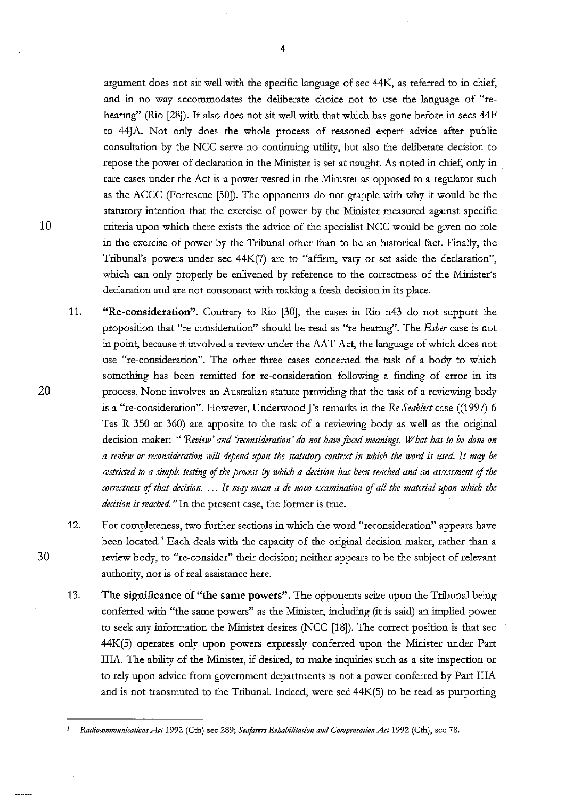argument does not sit well with the specific language of sec 44K, as referred to in chief, and in no way accommodates the deliberate choice not to use the language of "rehearing" (Rio [28]). It also does not sit well with that which has gone before in secs 44F to 44JA. Not only does the whole process of reasoned expert advice after public consultation by the NCC serve no continuing utility, but also the deliberate decision to repose the power of declaration in the Minister is set at naught. As noted in chief, only in . rare cases under the Act is a power vested in the Minister as opposed to a regulator such as the ACCC (Fortescue [50]). The opponents do not grapple with why it would be the statutory intention that the exercise of power by the Minister measured against specific criteria upon which there exists the advice of the specialist NCC would be given no role in the exercise of power by the Tribunal other than to be an historical fact. Finally, the Tribunal's powers under sec 44K(7) are to "affirm, *vary* or set aside the declaration", which can only properly be enlivened by reference to the correctness of the Minister's declaration and are not consonant with making a fresh decision in its place.

- 11. **"Re-consideration".** Contrary to Rio [30], the cases in Rio n43 do not support the proposition that "re-consideration" should be read as "re-hearing". The *Esber* case is not in point, because it involved a review under the AAT Act, the language of which does not use "re-consideration". The other three cases concerned the task of a body to which something has been remitted for re-consideration following a finding of error in its process. None *involves* an Australian statute providing that the task of a reviewing body is a "re-consideration". However, Underwood J's remarks in the *Re Seablest* case ((1997) 6 Tas R 350 at 360) are apposite to the task of a reviewing body as well as the original decision-maker: *"'Review' and 'reconsideration' do not have fixed meanings. What has to be done on a review or reconsideration will depend upon the statutory context in which the word is used. It mqy be restricted to a simple testing* of *the process by which a decision has been reached and an assessment* of *the correctness* of *that decision .* ... *It mqy mean a de novo examination* of *all the material upon which the· decision is reached.* "In the present case, the former is true.
- 12. For completeness, two further sections in which the word "reconsideration" appears have been located.<sup>3</sup> Each deals with the capacity of the original decision maker, rather than a review body, to "re-consider" their decision; neither appears to be the subject of relevant authority, nor is of real assistance here.
- 13. **The significance of "the same powers".** The opponents seize upon the Tribunal being conferred with "the same powers" as the Minister, including (it is said) an implied power to seek any information the Minister desires (NCC [18]). The correct position is that sec 44K(S) operates only upon powers expressly conferred upon the Minister under Part IliA. The ability of the Minister, if desired, to make inquiries such as a site inspection or to rely upon advice from goverment departments is not a power conferred by Part IliA and is not transmuted to the Tribunal. Indeed, were sec 44K(S) to be read as purporting

30

<sup>3</sup> *&diocommunications Act* 1992 (Cth) sec 289; *Seafarers &habilitation and Compmsatio11 Act* 1992 (Cth), sec 78.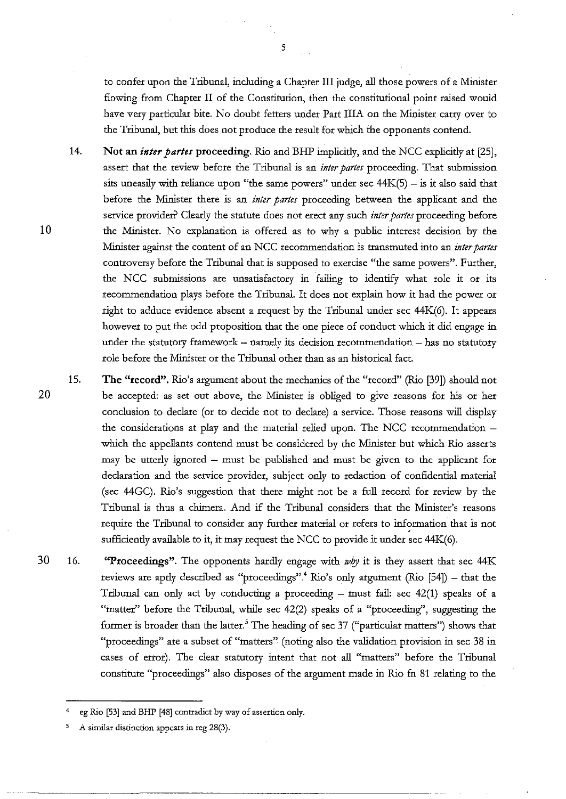to confer upon the Tribunal, including a Chapter III judge, all those powers of a Minister flowing from Chapter II of the Constitution, then the constitutional point raised would have very particular bite. No doubt fetters under Part IliA on the Minister carry over to the Tribunal, but this does not produce the result for which the opponents contend.

- 14. Not an *inter partes* proceeding. Rio and BHP implicitly, and the NCC explicitly at [25], assert that the review before the Tribunal is an *inter partes* proceeding. That submission sits uneasily with reliance upon "the same powers" under sec  $44K(5) -$  is it also said that before the Minister there is an *inter partes* proceeding between the applicant and the service provider? Clearly the statute does not erect any such *inter partes* proceeding before the Minister. No explanation is offered as to why a public interest decision by the Minister against the content of an NCC recommendation is ttansmuted into an *inter partes*  conttoversy before the Tribunal that is supposed to exercise "the same powers". Further, the NCC submissions are unsatisfactory in ·failing to identify what role it or its recommendation plays before the Tribunal. It does not explain how it had the power or right to adduce evidence absent a request by the Tribunal under sec 44K(6). It appears however to put the odd proposition that the one piece of conduct which it did engage in under the statutory framework  $-$  namely its decision recommendation  $-$  has no statutory role before the Minister or the Tribunal other than as an historical fact.
- 15. The "record". Rio's argument about the mechanics of the "record" (Rio [39]) should not be accepted: as set out above, the Minister is obliged to give reasons for his or her conclusion to declare (or to decide not to declare) a service. Those reasons will display the considerations at play and the material relied upon. The NCC recommendation which the appellants contend must be considered by the Minister but which Rio asserts may be utterly ignored  $-$  must be published and must be given to the applicant for declaration and the service provider, subject only to redaction of confidential material (sec 44GC). Rio's suggestion that there might not be a full record for review by the Tribunal is thus a chimera. And if the Tribunal considers that the Minister's reasons require the Tribunal to consider any further material or refers to information that is not sufficiently available to it, it may request the NCC to provide it under sec 44K(6).
- 16. "Proceedings". The opponents hardly engage with *why* it is they assert that sec 44K reviews are aptly described as "proceedings".<sup>4</sup> Rio's only argument (Rio  $[54]$ ) - that the Tribunal can only act by conducting a proceeding  $-$  must fail: sec 42(1) speaks of a "matter" before the Tribunal, while sec 42(2) speaks of a "proceeding'', suggesting the former is broader than the latter.<sup>5</sup> The heading of sec 37 ("particular matters") shows that "proceedings" are a subset of "matters" (noting also the validation provision in sec 38 in cases of error). The clear statutory intent that not all "matters" before the Tribunal constitute "proceedings" also disposes of the argument made in Rio fn 81 relating to the

5

10

<sup>4</sup> eg *Rio* [53] and BHP [48] contradict by way of assertion only.

<sup>5</sup> A similar distinction appears in reg 28(3).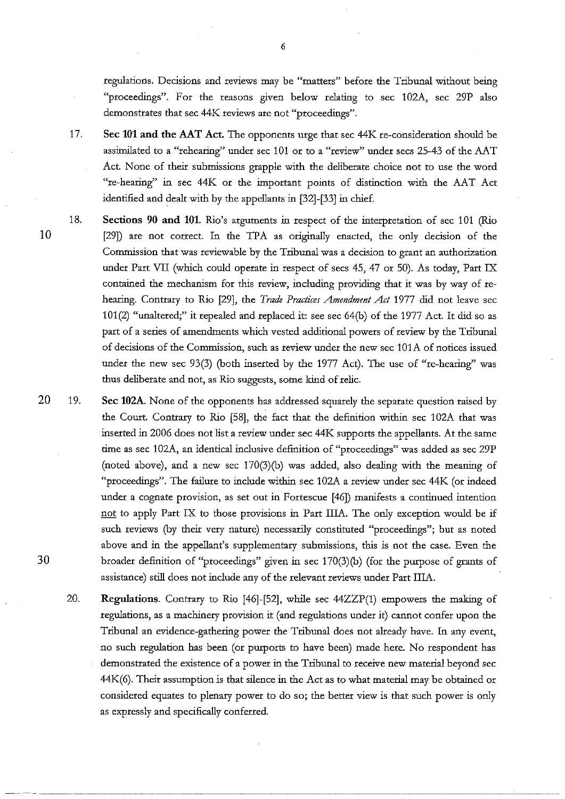regulations. Decisions and reviews may be "matters" before the Tribunal without being "proceedings". For the reasons given below relating to sec 102A, sec 29P also demonstrates that sec 44K reviews are not "proceedings".

- 17. Sec **101** and the AAT Act. The opponents urge that sec 44K re-consideration should be assimilated to a "rehearing" under sec 101 or to a "review" under secs 25-43 of the AAT Act. None of their submissions grapple with the deliberate choice not to use the word "re-hearing" in sec 44K or the important points of distinction with the AAT Act identified and dealt with by the appellants in [32]-[33] in chief.
- 18. Sections 90 and **101.** Rio's arguments in respect of the interpretation of sec 101 (Rio [29]) are not correct. In the TPA as originally enacted, the only decision of the Commission that was reviewable by the Tribunal was a decision to grant an authorization under Part VII (which could operate in respect of sees 45, 47 or 50). As today, Part IX contained the mechanism for this review, including providing that it was by way of rehearing. Contrary to Rio [29], the *Trade Practices Amendment Act* 1977 did not leave sec 101(2) "unaltered;" it repealed and replaced it: see sec 64(b) of the 1977 Act. It did so as part of a series of amendments which vested additional powers of review by the Tribunal of decisions of the Commission, such as review under the new sec lOlA of notices issued under the new sec 93(3) (both insetted by the 1977 Act). The use of "re-hearing" was thus deliberate and not, as Rio suggests, some kind of relic.
- 19. Sec 102A. None of the opponents has addressed squarely the separate question raised by the Court. Contrary to Rio [58], the fact that the definition within sec 102A that was inserted in 2006 does not list a review under sec 44K supports the appellants. At the same time as sec 102A, an identical inclusive definition of "proceedings" was added as sec 29P (noted above), and a new sec 170(3)(b) was added, also dealing with the meaning of "proceedings". The failure to include within sec 102A a review under sec 44K (or indeed under a cognate provision, as set out in Fortescue [46]) manifests a continued intention not to apply Part IX to those provisions in Part IIIA. The only exception would be if such reviews (by their *very* nature) necessarily constituted "proceedings"; but as noted above and in the appellant's supplementary submissions, this is not the case. Even the broader definition of "proceedings" given in sec 170(3)(b) (for the purpose of grants of assistance) still does not include any of the relevant reviews under Part IIIA.
	- 20. Regulations. Contrary to Rio [46]-[52], while sec 44ZZP(1) empowers the making of regulations, as a machinery provision it (and regulations under it) cannot confer upon the Tribunal an evidence-gathering power the Tribunal does not already have. In any event, no such regulation has been (or purports to have been) made here. No respondent has demonstrated the existence of a power in the Tribunal to receive new material beyond sec 44K(6). Their assumption is that silence in the Act as to what material may be obtained or considered equates to plenary power to do so; the better view is that such power is only as expressly and specifically conferred.

10

20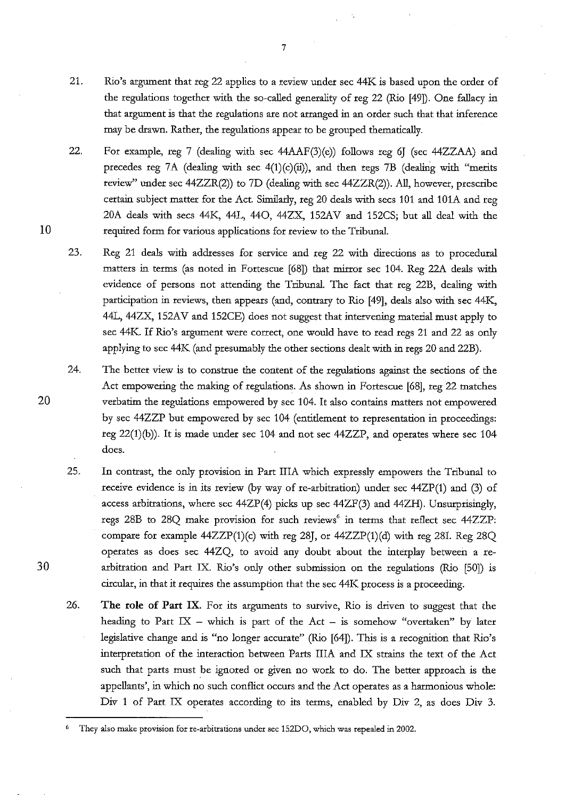- 21. Rio's argument that reg 22 applies to a review under sec 44K is based upon the order of the regulations together with the so-called generality of reg 22 (Rio [49]). One fallacy in that argument is that the regulations are not arranged in an order such that that inference may be drawn. Rather, the regulations appear to be grouped thematically.
- 22. For example, reg 7 (dealing with sec 44AAF(3)(e)) follows reg *6]* (sec 44ZZAA) and precedes reg 7A (dealing with sec  $4(1)(c)(ii)$ ), and then regs 7B (dealing with "merits review" under sec 44ZZR(2)) to 7D (dealing with sec 44ZZR(2)). All, however, prescribe certain subject matter for the Act. Similarly, reg 20 deals with secs 101 and 101A and reg 20A deals with sees 44K, 44L, 440, 44ZX, 152AV and 152CS; but all deal with the required form for various. applications for review to the Tribunal.
- 23. Reg 21 deals with addresses for service and reg 22 with directions as to procedural matters in terms (as noted in Fortescue [68]) that mirror sec 104. Reg 22A deals with evidence of persons not attending the Tribunal. The fact that reg 22B, dealing with participation in reviews, then appears (and, contrary to Rio [49], deals also with sec 44K, 44L, 44ZX, 152AV and 152CE) does not suggest that intervening material must apply to sec 44K. If Rio's argument were correct, one would have to read regs 21 and 22 as only applying to sec 44K (and presumably the other sections dealt with in regs 20 and 22B).
- 24. The better view is to construe the content of the regulations against the sections of the Act empowering the making of regulations. As shown in Fortescue [68], reg 22 matches verbatim the regulations empowered by sec 104. It also contains matters not empowered by sec 44ZZP but empowered by sec 104 (entitlement to representation in proceedings: reg 22(1)(b)). It is made under sec 104 and not sec 44ZZP, and operates where sec 104 does.
- 25. In contrast, the only provision in Part IliA which expressly empowers the Tribunal to receive evidence is in its review (by way of re-arbitration) under sec 44ZP(l) and (3) of access arbitrations, where sec 44ZP(4) picks up sec 44ZF(3) and 44ZH). Unsurprisingly, regs 28B to 28Q make provision for such reviews' in terms that reflect sec 44ZZP: compare for example  $44ZZP(1)(c)$  with reg 28J, or  $44ZZP(1)(d)$  with reg 28I. Reg 28Q operates as does sec 44ZQ, to avoid any doubt about the interplay between a rearbitration and Part IX. Rio's only other submission on the regulations (Rio [50]) 1s circular, in that it requires the assumption that the sec 44K process is a proceeding.
- 26. **The role of Part** IX. For its arguments to survive, Rio is driven to suggest that the heading to Part  $IX$  - which is part of the Act - is somehow "overtaken" by later legislative change and is "no longer accurate" (Rio [64]). This is a recognition that Rio's interpretation of the interaction between Parts IliA and IX strains the text of the Act such that parts must be ignored or given no work to do. The better approach is the appellants', in which no such conflict occurs and the Act operates as a harmonious whole: Div 1 of Part IX operates according to its terms, enabled by Div 2, as does Div 3.

10

20

<sup>6</sup> **They also make provision for re-arbitrations under sec 152DO, which was repealed in 2002.**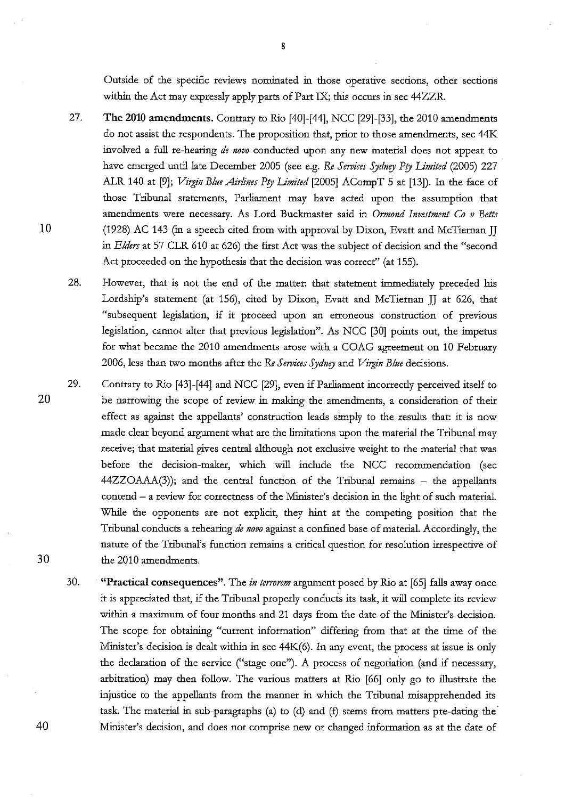Outside of the specific reviews nominated in those operative sections, other sections within the Act may expressly apply parts of Part IX; this occurs in sec 44ZZR.

- 27. The 2010 amendments. Contrary to Rio [40]-[44], NCC [29]-[33], the 2010 amendments do not assist the respondents. The proposition that, prior to those amendments, sec 44K involved a full re-hearing *de novo* conducted upon any new material does not appear to have emerged until late December 2005 (see e.g. *Re Services Sydnry Pty Limited* (2005) 227 ALR 140 at [9]; *Virgin Blue Airlines Pty Limited* [2005] ACompT 5 at [13]). In the face of those Tribunal statements, Parliament may have acted upon the assumption that atnendments were necessary. As Lord Buckmaster said in *Ormond Investment Co v Betts* (1928) AC 143 (in a speech cited from with approval by Dixon, Evatt and McTiernan JJ in *Elders* at 57 CLR 610 at 626) the first Act was the subject of decision and the "second Act proceeded on the hypothesis that the decision was correct'' (at 155).
- 28. However, that is not the end of the matter: that statement immediately preceded his Lordship's statement (at 156), cited by Dixon, Evatt and McTiernan JJ at 626, that "subsequent legislation, if it proceed upon an erroneous construction of previous legislation, cannot alter that previous legislation". As NCC [30] points out, the impetus for what became the 2010 amendments arose with a COAG agreement on 10 February 2006, less than two months after the Re Services Sydney and *Virgin Blue* decisions.
- 29. Contrary to Rio [43]-[44] and NCC [29], even if Parliament incorrectly perceived itself to be narrowing the scope of review in making the amendments, a consideration of their effect as against the appellants' construction leads simply to the results that: it is now made clear beyond argument what are the limitations upon the material the Tribunal may receive; that material gives central although not exclusive weight to the material that was before the decision-maker, which will include the NCC recommendation (sec  $44ZZOAAA(3)$ ; and the central function of the Tribunal remains  $-$  the appellants  $control - a$  review for correctness of the Minister's decision in the light of such material. While the opponents are not explicit, they hint at the competing position that the Tribunal conducts a rehearing *de novo* against a confined base of material. Accordingly, the nature of the Tribunal's function remains a critical question for resolution irrespective of the 2010 amendments.
	- 30. "**Practical consequences".** The *in terrorem* argument posed by Rio at [65] falls away once it is appreciated that, if the Tribunal properly conducts its task, it will complete its review within a maximum of four months and 21 days from the date of the Minister's decision. The scope for obtaining "current information" differing from that at the time of the Minister's decision is dealt within in sec 44K(6). In any event, the process at issue is only the declaration of the service ("stage one"). A process of negotiation (and if necessary, arbitration) may then follow. The various matters at Rio [66] only go to illustrate the injustice to the appellants from the manner in which the Tribunal misapprehended its task. The material in sub-paragraphs (a) to (d) and (f) stems from matters pre-dating the Minister's decision, and does not comprise new or changed information as at the date of

20

10

30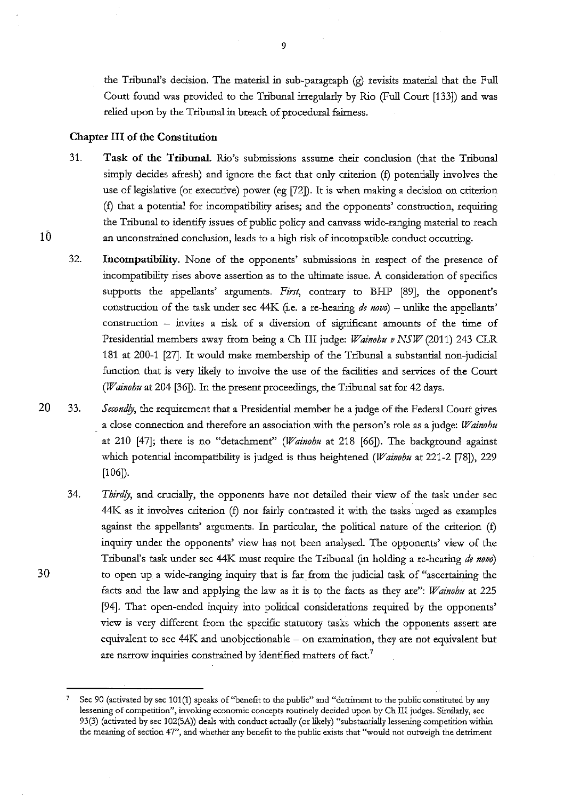the Tribunal's decision. The material in sub-paragraph (g) revisits material that the Full Court found was provided to the Tribunal irregularly by Rio (Full Court [133]) and was relied upon by the Tribunal in breach of procedural fairness.

### Chapter III of the Constitution

- 31. Task of the Tribunal. Rio's submissions assume their conclusion (that the Tribunal simply decides afresh) and ignore the fact that only criterion (f) potentially involves the use of legislative (or executive) power (eg [72]). It is when making a decision on criterion (f) that a potential for incompatibility arises; and the opponents' construction, requiring the Tribunal to identify issues of public policy and canvass wide-ranging material to reach an unconstrained conclusion, leads to a high risk of incompatible conduct occurring.
- 32. Incompatibility. None of the opponents' submissions in respect of the presence of incompatibility rises above assertion as to the ultimate issue. A consideration of specifics supports the appellants' arguments. *First,* contrary to BHP [89], the opponent's construction of the task under sec 44K (i.e. a re-hearing *de novo*) - unlike the appellants' construction - invites a risk of a diversion of significant amounts of the time of Presidential members away from being a Ch III judge: *Wainohu v NSW* (2011) 243 CLR 181 at 200-1 [27]. It would make membership of the Tribunal a substantial non-judicial function that is very likely to involve the use of the facilities and services of the Court *(Wainohu* at 204 [36]). In the present proceedings, the Tribunal sat for 42 days.
- 20 33. *Secondly,* the requirement that a Presidential member be a judge of the Federal Court gives a close connection and therefore an association with the person's role as a judge: *Wainohu*  at 210 [47]; there is no "detachment'' *(Wainohu* at 218 [66]). The background against which potential incompatibility is judged is thus heightened *(Wainohu* at 221-2 [78]), 229 [106]).
	- 34. *Thirdly,* and crucially, the opponents have not detailed their view of the task under sec 44K as it involves criterion (f) nor fairly contrasted it with the tasks urged as examples against the appellants' arguments. In particular, the political nature of the criterion (f) inquiry under the opponents' view has not been analysed. The opponents' view of the Tribunal's task under sec 44K must require the Tribunal (in holding a re-heating *de novo)*  to open up a wide-ranging inquiry that is far. from the judicial task of "ascertaining the facts and the law and applying the law as it is to the facts as they are": *Wainohu* at 225 [94]. That open-ended inquiry into political considerations required by the opponents' view is very different from the specific statutory tasks which the opponents assert are equivalent to sec 44K and unobjectionable - on examination, they are not equivalent but are narrow inquiries constrained by identified matters of fact.<sup>7</sup>

30

<sup>7</sup> Sec 90 (activated by sec 101(1) speaks of"benefit to the public" and "detriment to the public constituted by any **lessening of competition", invoking economic concepts routinely decided upon by Ch III judges. Similarly, sec**  93(3) (activated by sec 102(5A)) deals with conduct actually (or likely) "substantially lessening competition within **the meaning of section 47", and whether any benefit to the public exists that "would not outweigh the detriment**